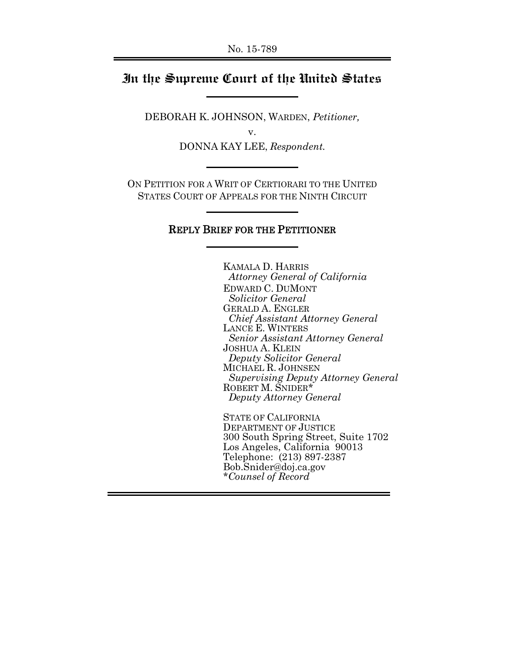#### **In the Supreme Court of the United States**

DEBORAH K. JOHNSON, WARDEN, *Petitioner,*

v.

DONNA KAY LEE, *Respondent.*

ON PETITION FOR A WRIT OF CERTIORARI TO THE UNITED STATES COURT OF APPEALS FOR THE NINTH CIRCUIT

#### REPLY BRIEF FOR THE PETITIONER

KAMALA D. HARRIS  *Attorney General of California* EDWARD C. DUMONT  *Solicitor General* GERALD A. ENGLER *Chief Assistant Attorney General* LANCE E. WINTERS *Senior Assistant Attorney General* JOSHUA A. KLEIN  *Deputy Solicitor General* MICHAEL R. JOHNSEN *Supervising Deputy Attorney General* ROBERT M. SNIDER\* *Deputy Attorney General*

STATE OF CALIFORNIA DEPARTMENT OF JUSTICE 300 South Spring Street, Suite 1702 Los Angeles, California 90013 Telephone: (213) 897-2387 Bob.Snider@doj.ca.gov *\*Counsel of Record*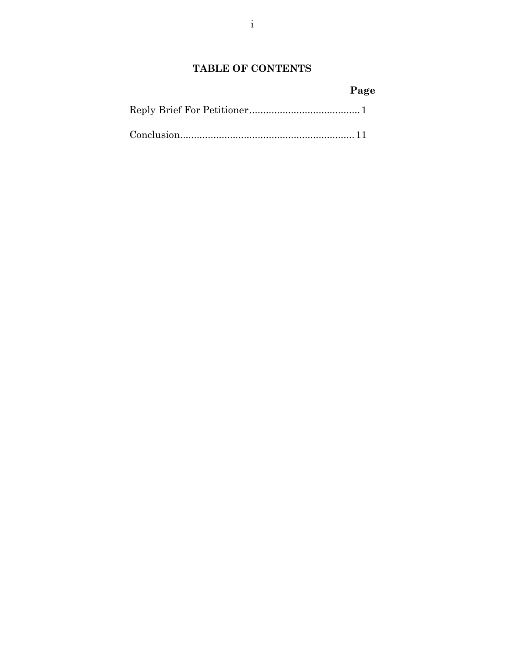### **TABLE OF CONTENTS**

# **Page**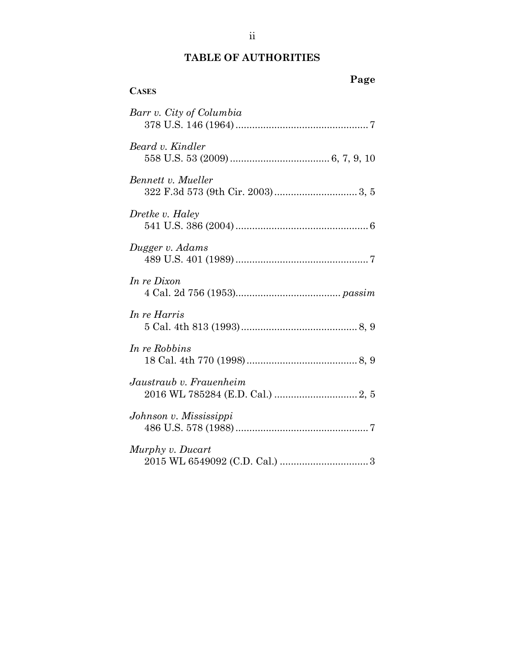## **TABLE OF AUTHORITIES**

| <b>CASES</b>             | Page |
|--------------------------|------|
| Barr v. City of Columbia |      |
| Beard v. Kindler         |      |
| Bennett v. Mueller       |      |
| Dretke v. Haley          |      |
| Dugger v. Adams          |      |
| In re Dixon              |      |
| In re Harris             |      |
| In re Robbins            |      |
| Jaustraub v. Frauenheim  |      |
| Johnson v. Mississippi   |      |
| Murphy v. Ducart         |      |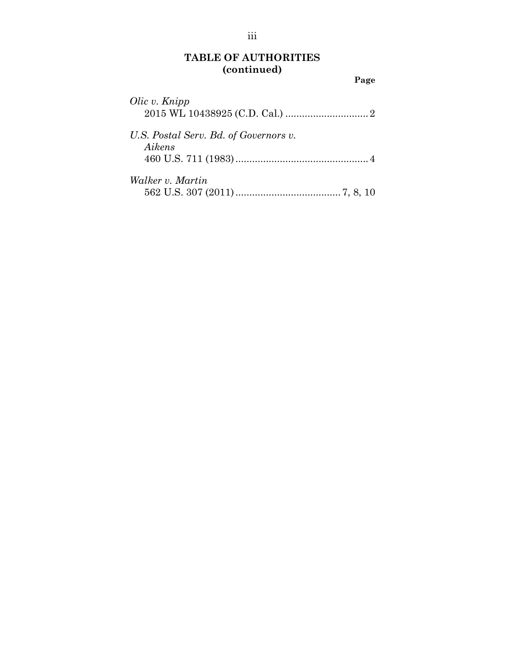## **TABLE OF AUTHORITIES (continued)**

**Page**

| Olic v. Knipp                                   |  |
|-------------------------------------------------|--|
| U.S. Postal Serv. Bd. of Governors v.<br>Aikens |  |
| Walker v. Martin                                |  |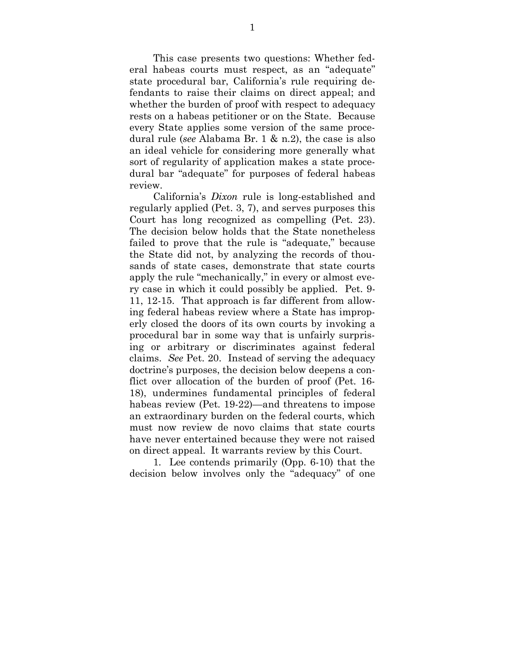This case presents two questions: Whether federal habeas courts must respect, as an "adequate" state procedural bar, California's rule requiring defendants to raise their claims on direct appeal; and whether the burden of proof with respect to adequacy rests on a habeas petitioner or on the State. Because every State applies some version of the same procedural rule (*see* Alabama Br. 1 & n.2), the case is also an ideal vehicle for considering more generally what sort of regularity of application makes a state procedural bar "adequate" for purposes of federal habeas review.

California's *Dixon* rule is long-established and regularly applied (Pet. 3, 7), and serves purposes this Court has long recognized as compelling (Pet. 23). The decision below holds that the State nonetheless failed to prove that the rule is "adequate," because the State did not, by analyzing the records of thousands of state cases, demonstrate that state courts apply the rule "mechanically," in every or almost every case in which it could possibly be applied. Pet. 9- 11, 12-15. That approach is far different from allowing federal habeas review where a State has improperly closed the doors of its own courts by invoking a procedural bar in some way that is unfairly surprising or arbitrary or discriminates against federal claims. *See* Pet. 20. Instead of serving the adequacy doctrine's purposes, the decision below deepens a conflict over allocation of the burden of proof (Pet. 16- 18), undermines fundamental principles of federal habeas review (Pet. 19-22)—and threatens to impose an extraordinary burden on the federal courts, which must now review de novo claims that state courts have never entertained because they were not raised on direct appeal. It warrants review by this Court.

1. Lee contends primarily (Opp. 6-10) that the decision below involves only the "adequacy" of one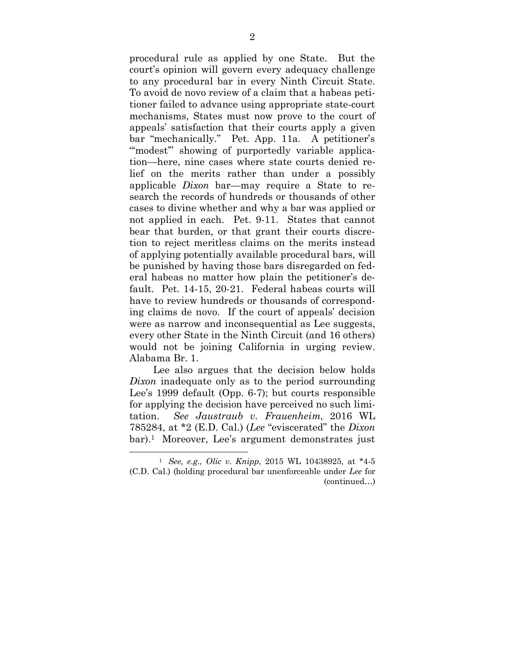procedural rule as applied by one State. But the court's opinion will govern every adequacy challenge to any procedural bar in every Ninth Circuit State. To avoid de novo review of a claim that a habeas petitioner failed to advance using appropriate state-court mechanisms, States must now prove to the court of appeals' satisfaction that their courts apply a given bar "mechanically." Pet. App. 11a. A petitioner's "modest" showing of purportedly variable application—here, nine cases where state courts denied relief on the merits rather than under a possibly applicable *Dixon* bar—may require a State to research the records of hundreds or thousands of other cases to divine whether and why a bar was applied or not applied in each. Pet. 9-11. States that cannot bear that burden, or that grant their courts discretion to reject meritless claims on the merits instead of applying potentially available procedural bars, will be punished by having those bars disregarded on federal habeas no matter how plain the petitioner's default. Pet. 14-15, 20-21. Federal habeas courts will have to review hundreds or thousands of corresponding claims de novo. If the court of appeals' decision were as narrow and inconsequential as Lee suggests, every other State in the Ninth Circuit (and 16 others) would not be joining California in urging review. Alabama Br. 1.

Lee also argues that the decision below holds *Dixon* inadequate only as to the period surrounding Lee's 1999 default (Opp. 6-7); but courts responsible for applying the decision have perceived no such limitation. *See Jaustraub v. Frauenheim*, 2016 WL 785284, at \*2 (E.D. Cal.) (*Lee* "eviscerated" the *Dixon* bar).1 Moreover, Lee's argument demonstrates just

<sup>1</sup> *See, e.g., Olic v. Knipp*, 2015 WL 10438925, at \*4-5 (C.D. Cal.) (holding procedural bar unenforceable under *Lee* for (continued…)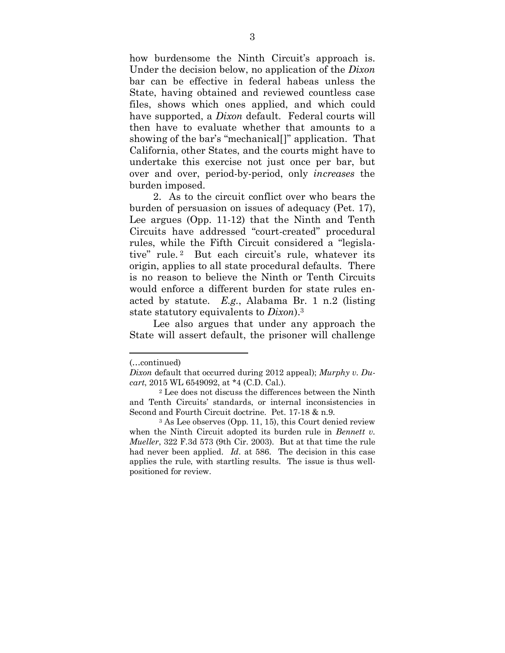how burdensome the Ninth Circuit's approach is. Under the decision below, no application of the *Dixon* bar can be effective in federal habeas unless the State, having obtained and reviewed countless case files, shows which ones applied, and which could have supported, a *Dixon* default. Federal courts will then have to evaluate whether that amounts to a showing of the bar's "mechanical[]" application. That California, other States, and the courts might have to undertake this exercise not just once per bar, but over and over, period-by-period, only *increases* the burden imposed.

2. As to the circuit conflict over who bears the burden of persuasion on issues of adequacy (Pet. 17), Lee argues (Opp. 11-12) that the Ninth and Tenth Circuits have addressed "court-created" procedural rules, while the Fifth Circuit considered a "legislative" rule. <sup>2</sup> But each circuit's rule, whatever its origin, applies to all state procedural defaults. There is no reason to believe the Ninth or Tenth Circuits would enforce a different burden for state rules enacted by statute. *E.g.*, Alabama Br. 1 n.2 (listing state statutory equivalents to *Dixon*).<sup>3</sup>

Lee also argues that under any approach the State will assert default, the prisoner will challenge

<sup>(…</sup>continued)

*Dixon* default that occurred during 2012 appeal); *Murphy v. Ducart*, 2015 WL 6549092, at \*4 (C.D. Cal.).

<sup>2</sup> Lee does not discuss the differences between the Ninth and Tenth Circuits' standards, or internal inconsistencies in Second and Fourth Circuit doctrine. Pet. 17-18 & n.9.

<sup>3</sup> As Lee observes (Opp. 11, 15), this Court denied review when the Ninth Circuit adopted its burden rule in *Bennett v. Mueller*, 322 F.3d 573 (9th Cir. 2003)*.* But at that time the rule had never been applied. *Id*. at 586. The decision in this case applies the rule, with startling results. The issue is thus wellpositioned for review.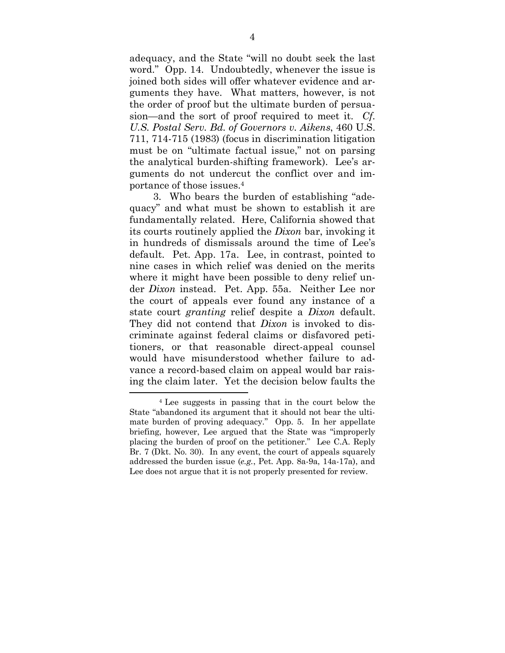adequacy, and the State "will no doubt seek the last word." Opp. 14. Undoubtedly, whenever the issue is joined both sides will offer whatever evidence and arguments they have. What matters, however, is not the order of proof but the ultimate burden of persuasion—and the sort of proof required to meet it. *Cf. U.S. Postal Serv. Bd. of Governors v. Aikens*, 460 U.S. 711, 714-715 (1983) (focus in discrimination litigation must be on "ultimate factual issue," not on parsing the analytical burden-shifting framework). Lee's arguments do not undercut the conflict over and importance of those issues.<sup>4</sup>

3. Who bears the burden of establishing "adequacy" and what must be shown to establish it are fundamentally related. Here, California showed that its courts routinely applied the *Dixon* bar, invoking it in hundreds of dismissals around the time of Lee's default. Pet. App. 17a. Lee, in contrast, pointed to nine cases in which relief was denied on the merits where it might have been possible to deny relief under *Dixon* instead. Pet. App. 55a. Neither Lee nor the court of appeals ever found any instance of a state court *granting* relief despite a *Dixon* default. They did not contend that *Dixon* is invoked to discriminate against federal claims or disfavored petitioners, or that reasonable direct-appeal counsel would have misunderstood whether failure to advance a record-based claim on appeal would bar raising the claim later. Yet the decision below faults the

<sup>4</sup> Lee suggests in passing that in the court below the State "abandoned its argument that it should not bear the ultimate burden of proving adequacy." Opp. 5. In her appellate briefing, however, Lee argued that the State was "improperly placing the burden of proof on the petitioner." Lee C.A. Reply Br. 7 (Dkt. No. 30). In any event, the court of appeals squarely addressed the burden issue (*e.g.*, Pet. App. 8a-9a, 14a-17a), and Lee does not argue that it is not properly presented for review.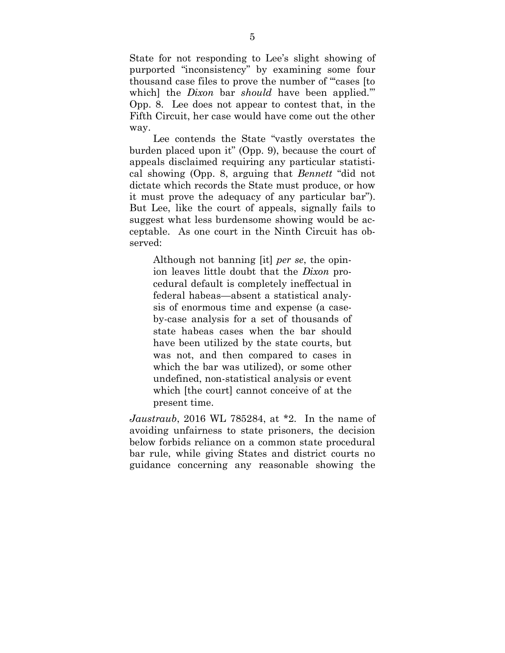State for not responding to Lee's slight showing of purported "inconsistency" by examining some four thousand case files to prove the number of "'cases [to which] the *Dixon* bar *should* have been applied.'" Opp. 8. Lee does not appear to contest that, in the Fifth Circuit, her case would have come out the other way.

Lee contends the State "vastly overstates the burden placed upon it" (Opp. 9), because the court of appeals disclaimed requiring any particular statistical showing (Opp. 8, arguing that *Bennett* "did not dictate which records the State must produce, or how it must prove the adequacy of any particular bar"). But Lee, like the court of appeals, signally fails to suggest what less burdensome showing would be acceptable. As one court in the Ninth Circuit has observed:

Although not banning [it] *per se*, the opinion leaves little doubt that the *Dixon* procedural default is completely ineffectual in federal habeas—absent a statistical analysis of enormous time and expense (a caseby-case analysis for a set of thousands of state habeas cases when the bar should have been utilized by the state courts, but was not, and then compared to cases in which the bar was utilized), or some other undefined, non-statistical analysis or event which [the court] cannot conceive of at the present time.

*Jaustraub*, 2016 WL 785284, at \*2. In the name of avoiding unfairness to state prisoners, the decision below forbids reliance on a common state procedural bar rule, while giving States and district courts no guidance concerning any reasonable showing the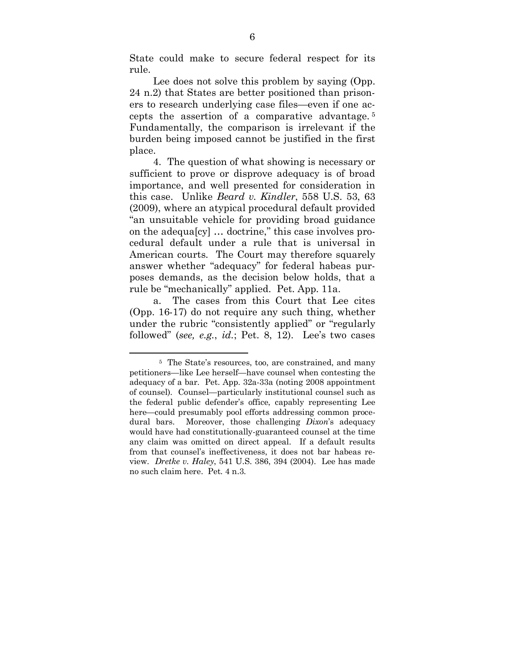State could make to secure federal respect for its rule.

Lee does not solve this problem by saying (Opp. 24 n.2) that States are better positioned than prisoners to research underlying case files—even if one accepts the assertion of a comparative advantage. <sup>5</sup> Fundamentally, the comparison is irrelevant if the burden being imposed cannot be justified in the first place.

4. The question of what showing is necessary or sufficient to prove or disprove adequacy is of broad importance, and well presented for consideration in this case. Unlike *Beard v. Kindler*, 558 U.S. 53, 63 (2009), where an atypical procedural default provided "an unsuitable vehicle for providing broad guidance on the adequa[cy] … doctrine," this case involves procedural default under a rule that is universal in American courts. The Court may therefore squarely answer whether "adequacy" for federal habeas purposes demands, as the decision below holds, that a rule be "mechanically" applied. Pet. App. 11a.

a. The cases from this Court that Lee cites (Opp. 16-17) do not require any such thing, whether under the rubric "consistently applied" or "regularly followed" (*see, e.g.*, *id.*; Pet. 8, 12). Lee's two cases

<sup>5</sup> The State's resources, too, are constrained, and many petitioners—like Lee herself—have counsel when contesting the adequacy of a bar. Pet. App. 32a-33a (noting 2008 appointment of counsel). Counsel—particularly institutional counsel such as the federal public defender's office, capably representing Lee here—could presumably pool efforts addressing common procedural bars. Moreover, those challenging *Dixon*'s adequacy would have had constitutionally-guaranteed counsel at the time any claim was omitted on direct appeal. If a default results from that counsel's ineffectiveness, it does not bar habeas review. *Dretke v. Haley*, 541 U.S. 386, 394 (2004). Lee has made no such claim here. Pet. 4 n.3.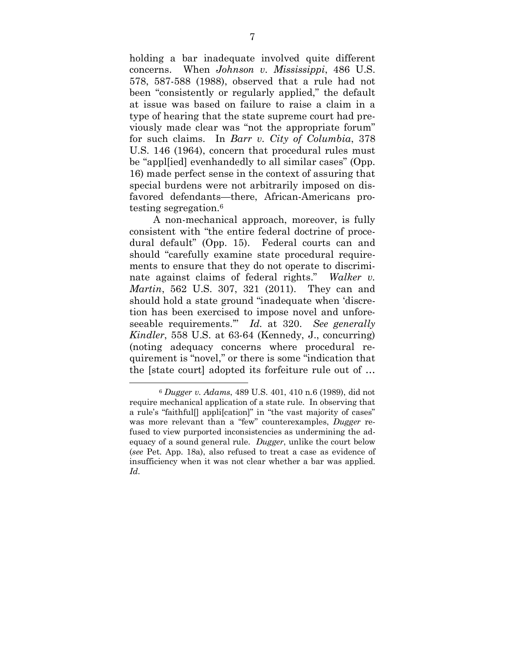holding a bar inadequate involved quite different concerns. When *Johnson v. Mississippi*, 486 U.S. 578, 587-588 (1988), observed that a rule had not been "consistently or regularly applied," the default at issue was based on failure to raise a claim in a type of hearing that the state supreme court had previously made clear was "not the appropriate forum" for such claims. In *Barr v. City of Columbia*, 378 U.S. 146 (1964), concern that procedural rules must be "appl[ied] evenhandedly to all similar cases" (Opp. 16) made perfect sense in the context of assuring that special burdens were not arbitrarily imposed on disfavored defendants—there, African-Americans protesting segregation.<sup>6</sup>

A non-mechanical approach, moreover, is fully consistent with "the entire federal doctrine of procedural default" (Opp. 15). Federal courts can and should "carefully examine state procedural requirements to ensure that they do not operate to discriminate against claims of federal rights." *Walker v. Martin*, 562 U.S. 307, 321 (2011). They can and should hold a state ground "inadequate when 'discretion has been exercised to impose novel and unforeseeable requirements.'" *Id.* at 320. *See generally Kindler*, 558 U.S. at 63-64 (Kennedy, J., concurring) (noting adequacy concerns where procedural requirement is "novel," or there is some "indication that the [state court] adopted its forfeiture rule out of …

<sup>6</sup> *Dugger v. Adams*, 489 U.S. 401, 410 n.6 (1989), did not require mechanical application of a state rule. In observing that a rule's "faithful[] appli[cation]" in "the vast majority of cases" was more relevant than a "few" counterexamples, *Dugger* refused to view purported inconsistencies as undermining the adequacy of a sound general rule. *Dugger*, unlike the court below (*see* Pet. App. 18a), also refused to treat a case as evidence of insufficiency when it was not clear whether a bar was applied. *Id.*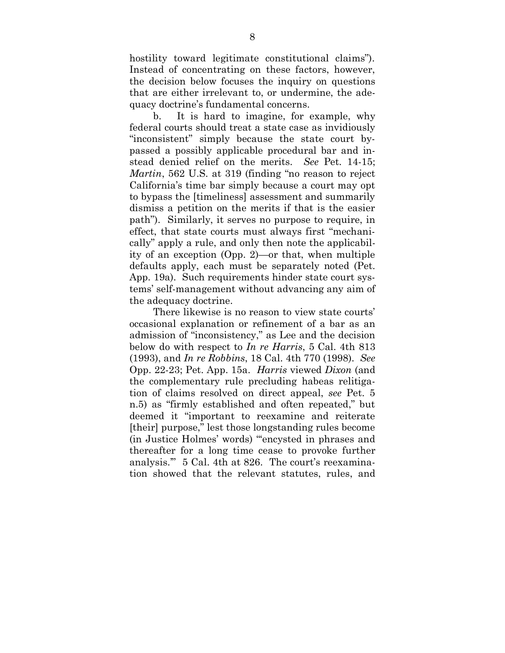hostility toward legitimate constitutional claims"). Instead of concentrating on these factors, however, the decision below focuses the inquiry on questions that are either irrelevant to, or undermine, the adequacy doctrine's fundamental concerns.

b. It is hard to imagine, for example, why federal courts should treat a state case as invidiously "inconsistent" simply because the state court bypassed a possibly applicable procedural bar and instead denied relief on the merits. *See* Pet. 14-15; *Martin*, 562 U.S. at 319 (finding "no reason to reject California's time bar simply because a court may opt to bypass the [timeliness] assessment and summarily dismiss a petition on the merits if that is the easier path"). Similarly, it serves no purpose to require, in effect, that state courts must always first "mechanically" apply a rule, and only then note the applicability of an exception (Opp. 2)—or that, when multiple defaults apply, each must be separately noted (Pet. App. 19a). Such requirements hinder state court systems' self-management without advancing any aim of the adequacy doctrine.

There likewise is no reason to view state courts' occasional explanation or refinement of a bar as an admission of "inconsistency," as Lee and the decision below do with respect to *In re Harris*, 5 Cal. 4th 813 (1993), and *In re Robbins*, 18 Cal. 4th 770 (1998). *See* Opp. 22-23; Pet. App. 15a. *Harris* viewed *Dixon* (and the complementary rule precluding habeas relitigation of claims resolved on direct appeal, *see* Pet. 5 n.5) as "firmly established and often repeated," but deemed it "important to reexamine and reiterate [their] purpose," lest those longstanding rules become (in Justice Holmes' words) "'encysted in phrases and thereafter for a long time cease to provoke further analysis.'" 5 Cal. 4th at 826. The court's reexamination showed that the relevant statutes, rules, and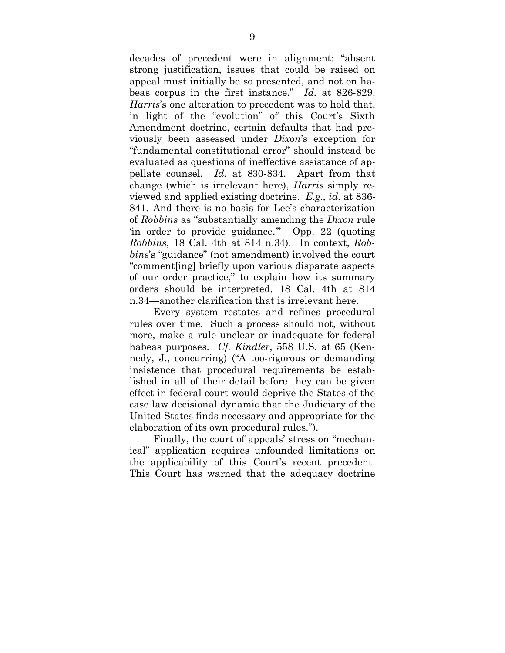decades of precedent were in alignment: "absent strong justification, issues that could be raised on appeal must initially be so presented, and not on habeas corpus in the first instance." *Id.* at 826-829. *Harris*'s one alteration to precedent was to hold that, in light of the "evolution" of this Court's Sixth Amendment doctrine, certain defaults that had previously been assessed under *Dixon*'s exception for "fundamental constitutional error" should instead be evaluated as questions of ineffective assistance of appellate counsel. *Id.* at 830-834. Apart from that change (which is irrelevant here), *Harris* simply reviewed and applied existing doctrine. *E.g., id.* at 836- 841. And there is no basis for Lee's characterization of *Robbins* as "substantially amending the *Dixon* rule 'in order to provide guidance.'" Opp. 22 (quoting *Robbins*, 18 Cal. 4th at 814 n.34). In context, *Robbins*'s "guidance" (not amendment) involved the court "comment[ing] briefly upon various disparate aspects of our order practice," to explain how its summary orders should be interpreted, 18 Cal. 4th at 814 n.34—another clarification that is irrelevant here.

Every system restates and refines procedural rules over time. Such a process should not, without more, make a rule unclear or inadequate for federal habeas purposes. *Cf. Kindler*, 558 U.S. at 65 (Kennedy, J., concurring) ("A too-rigorous or demanding insistence that procedural requirements be established in all of their detail before they can be given effect in federal court would deprive the States of the case law decisional dynamic that the Judiciary of the United States finds necessary and appropriate for the elaboration of its own procedural rules.").

Finally, the court of appeals' stress on "mechanical" application requires unfounded limitations on the applicability of this Court's recent precedent. This Court has warned that the adequacy doctrine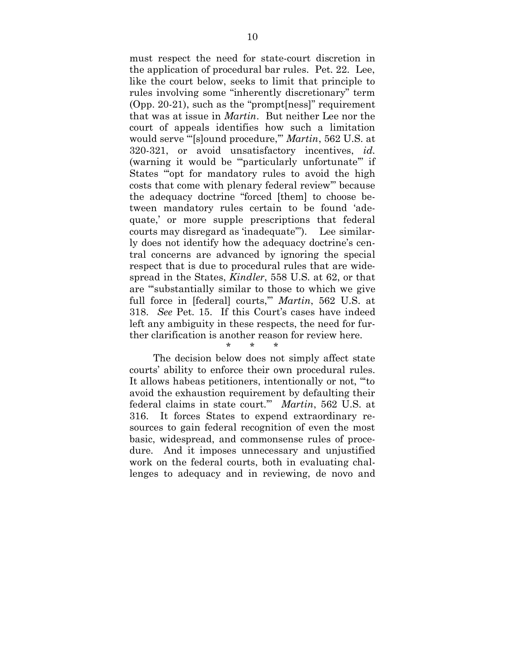must respect the need for state-court discretion in the application of procedural bar rules. Pet. 22. Lee, like the court below, seeks to limit that principle to rules involving some "inherently discretionary" term (Opp. 20-21), such as the "prompt[ness]" requirement that was at issue in *Martin*. But neither Lee nor the court of appeals identifies how such a limitation would serve "'[s]ound procedure,'" *Martin*, 562 U.S. at 320-321, or avoid unsatisfactory incentives, *id.* (warning it would be "'particularly unfortunate'" if States "'opt for mandatory rules to avoid the high costs that come with plenary federal review'" because the adequacy doctrine "forced [them] to choose between mandatory rules certain to be found 'adequate,' or more supple prescriptions that federal courts may disregard as 'inadequate'"). Lee similarly does not identify how the adequacy doctrine's central concerns are advanced by ignoring the special respect that is due to procedural rules that are widespread in the States, *Kindler*, 558 U.S. at 62, or that are "'substantially similar to those to which we give full force in [federal] courts,'" *Martin*, 562 U.S. at 318. *See* Pet. 15. If this Court's cases have indeed left any ambiguity in these respects, the need for further clarification is another reason for review here.

#### \* \* \*

The decision below does not simply affect state courts' ability to enforce their own procedural rules. It allows habeas petitioners, intentionally or not, "'to avoid the exhaustion requirement by defaulting their federal claims in state court.'" *Martin*, 562 U.S. at 316. It forces States to expend extraordinary resources to gain federal recognition of even the most basic, widespread, and commonsense rules of procedure. And it imposes unnecessary and unjustified work on the federal courts, both in evaluating challenges to adequacy and in reviewing, de novo and